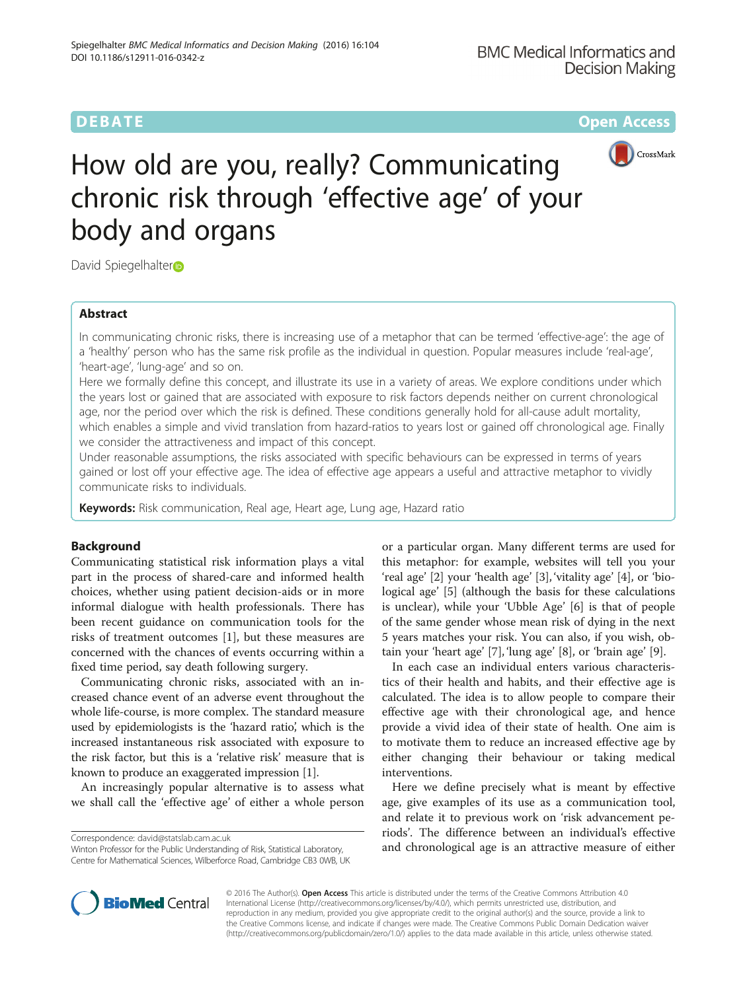**DEBATE CONSERVATION CONSERVATION** 



# How old are you, really? Communicating chronic risk through 'effective age' of your body and organs

David Spiegelhalter

# Abstract

In communicating chronic risks, there is increasing use of a metaphor that can be termed 'effective-age': the age of a 'healthy' person who has the same risk profile as the individual in question. Popular measures include 'real-age', 'heart-age', 'lung-age' and so on.

Here we formally define this concept, and illustrate its use in a variety of areas. We explore conditions under which the years lost or gained that are associated with exposure to risk factors depends neither on current chronological age, nor the period over which the risk is defined. These conditions generally hold for all-cause adult mortality, which enables a simple and vivid translation from hazard-ratios to years lost or gained off chronological age. Finally we consider the attractiveness and impact of this concept.

Under reasonable assumptions, the risks associated with specific behaviours can be expressed in terms of years gained or lost off your effective age. The idea of effective age appears a useful and attractive metaphor to vividly communicate risks to individuals.

Keywords: Risk communication, Real age, Heart age, Lung age, Hazard ratio

# Background

Communicating statistical risk information plays a vital part in the process of shared-care and informed health choices, whether using patient decision-aids or in more informal dialogue with health professionals. There has been recent guidance on communication tools for the risks of treatment outcomes [[1\]](#page-4-0), but these measures are concerned with the chances of events occurring within a fixed time period, say death following surgery.

Communicating chronic risks, associated with an increased chance event of an adverse event throughout the whole life-course, is more complex. The standard measure used by epidemiologists is the 'hazard ratio', which is the increased instantaneous risk associated with exposure to the risk factor, but this is a 'relative risk' measure that is known to produce an exaggerated impression [\[1](#page-4-0)].

An increasingly popular alternative is to assess what we shall call the 'effective age' of either a whole person

Winton Professor for the Public Understanding of Risk, Statistical Laboratory, Centre for Mathematical Sciences, Wilberforce Road, Cambridge CB3 0WB, UK

or a particular organ. Many different terms are used for this metaphor: for example, websites will tell you your 'real age' [\[2\]](#page-4-0) your 'health age' [\[3\]](#page-4-0), 'vitality age' [\[4](#page-4-0)], or 'biological age' [[5\]](#page-4-0) (although the basis for these calculations is unclear), while your 'Ubble Age' [[6\]](#page-4-0) is that of people of the same gender whose mean risk of dying in the next 5 years matches your risk. You can also, if you wish, obtain your 'heart age' [\[7](#page-4-0)], 'lung age' [\[8](#page-4-0)], or 'brain age' [\[9](#page-4-0)].

In each case an individual enters various characteristics of their health and habits, and their effective age is calculated. The idea is to allow people to compare their effective age with their chronological age, and hence provide a vivid idea of their state of health. One aim is to motivate them to reduce an increased effective age by either changing their behaviour or taking medical interventions.

Here we define precisely what is meant by effective age, give examples of its use as a communication tool, and relate it to previous work on 'risk advancement periods'. The difference between an individual's effective Correspondence: [david@statslab.cam.ac.uk](mailto:david@statslab.cam.ac.uk)<br>Minton Professor for the Public Understanding of Risk, Statistical Laboratory, **and chronological age is an attractive measure of either** 



© 2016 The Author(s). Open Access This article is distributed under the terms of the Creative Commons Attribution 4.0 International License [\(http://creativecommons.org/licenses/by/4.0/](http://creativecommons.org/licenses/by/4.0/)), which permits unrestricted use, distribution, and reproduction in any medium, provided you give appropriate credit to the original author(s) and the source, provide a link to the Creative Commons license, and indicate if changes were made. The Creative Commons Public Domain Dedication waiver [\(http://creativecommons.org/publicdomain/zero/1.0/](http://creativecommons.org/publicdomain/zero/1.0/)) applies to the data made available in this article, unless otherwise stated.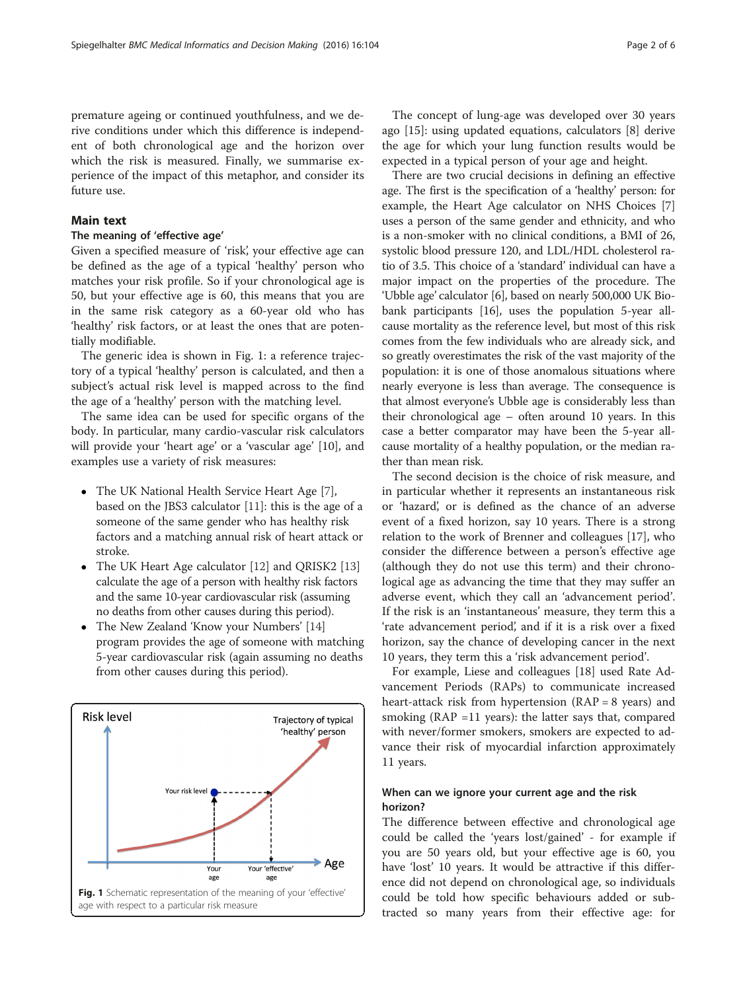premature ageing or continued youthfulness, and we derive conditions under which this difference is independent of both chronological age and the horizon over which the risk is measured. Finally, we summarise experience of the impact of this metaphor, and consider its future use.

# Main text

# The meaning of 'effective age'

Given a specified measure of 'risk', your effective age can be defined as the age of a typical 'healthy' person who matches your risk profile. So if your chronological age is 50, but your effective age is 60, this means that you are in the same risk category as a 60-year old who has 'healthy' risk factors, or at least the ones that are potentially modifiable.

The generic idea is shown in Fig. 1: a reference trajectory of a typical 'healthy' person is calculated, and then a subject's actual risk level is mapped across to the find the age of a 'healthy' person with the matching level.

The same idea can be used for specific organs of the body. In particular, many cardio-vascular risk calculators will provide your 'heart age' or a 'vascular age' [[10\]](#page-4-0), and examples use a variety of risk measures:

- The UK National Health Service Heart Age [[7\]](#page-4-0), based on the JBS3 calculator [[11\]](#page-4-0): this is the age of a someone of the same gender who has healthy risk factors and a matching annual risk of heart attack or stroke.
- The UK Heart Age calculator [\[12\]](#page-4-0) and QRISK2 [[13](#page-5-0)] calculate the age of a person with healthy risk factors and the same 10-year cardiovascular risk (assuming no deaths from other causes during this period).
- The New Zealand 'Know your Numbers' [[14\]](#page-5-0) program provides the age of someone with matching 5-year cardiovascular risk (again assuming no deaths from other causes during this period).



The concept of lung-age was developed over 30 years ago [[15\]](#page-5-0): using updated equations, calculators [\[8](#page-4-0)] derive the age for which your lung function results would be expected in a typical person of your age and height.

There are two crucial decisions in defining an effective age. The first is the specification of a 'healthy' person: for example, the Heart Age calculator on NHS Choices [[7](#page-4-0)] uses a person of the same gender and ethnicity, and who is a non-smoker with no clinical conditions, a BMI of 26, systolic blood pressure 120, and LDL/HDL cholesterol ratio of 3.5. This choice of a 'standard' individual can have a major impact on the properties of the procedure. The 'Ubble age' calculator [[6\]](#page-4-0), based on nearly 500,000 UK Biobank participants [\[16](#page-5-0)], uses the population 5-year allcause mortality as the reference level, but most of this risk comes from the few individuals who are already sick, and so greatly overestimates the risk of the vast majority of the population: it is one of those anomalous situations where nearly everyone is less than average. The consequence is that almost everyone's Ubble age is considerably less than their chronological age – often around 10 years. In this case a better comparator may have been the 5-year allcause mortality of a healthy population, or the median rather than mean risk.

The second decision is the choice of risk measure, and in particular whether it represents an instantaneous risk or 'hazard', or is defined as the chance of an adverse event of a fixed horizon, say 10 years. There is a strong relation to the work of Brenner and colleagues [\[17\]](#page-5-0), who consider the difference between a person's effective age (although they do not use this term) and their chronological age as advancing the time that they may suffer an adverse event, which they call an 'advancement period'. If the risk is an 'instantaneous' measure, they term this a 'rate advancement period', and if it is a risk over a fixed horizon, say the chance of developing cancer in the next 10 years, they term this a 'risk advancement period'.

For example, Liese and colleagues [[18\]](#page-5-0) used Rate Advancement Periods (RAPs) to communicate increased heart-attack risk from hypertension  $(RAP = 8 \text{ years})$  and smoking ( $RAP = 11$  years): the latter says that, compared with never/former smokers, smokers are expected to advance their risk of myocardial infarction approximately 11 years.

# When can we ignore your current age and the risk horizon?

The difference between effective and chronological age could be called the 'years lost/gained' - for example if you are 50 years old, but your effective age is 60, you have 'lost' 10 years. It would be attractive if this difference did not depend on chronological age, so individuals could be told how specific behaviours added or subtracted so many years from their effective age: for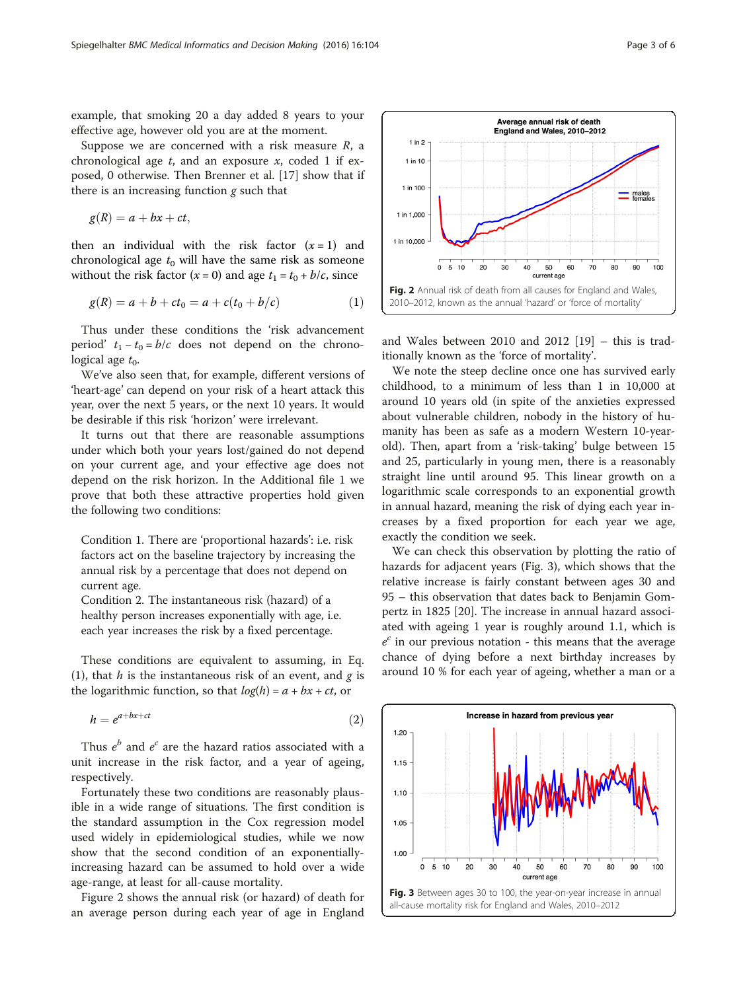<span id="page-2-0"></span>example, that smoking 20 a day added 8 years to your effective age, however old you are at the moment.

Suppose we are concerned with a risk measure  $R$ , a chronological age  $t$ , and an exposure  $x$ , coded 1 if exposed, 0 otherwise. Then Brenner et al. [\[17](#page-5-0)] show that if there is an increasing function  $g$  such that

$$
g(R) = a + bx + ct,
$$

then an individual with the risk factor  $(x = 1)$  and chronological age  $t_0$  will have the same risk as someone without the risk factor  $(x = 0)$  and age  $t_1 = t_0 + b/c$ , since

$$
g(R) = a + b + ct_0 = a + c(t_0 + b/c)
$$
 (1)

Thus under these conditions the 'risk advancement period'  $t_1 - t_0 = b/c$  does not depend on the chronological age  $t_0$ .

We've also seen that, for example, different versions of 'heart-age' can depend on your risk of a heart attack this year, over the next 5 years, or the next 10 years. It would be desirable if this risk 'horizon' were irrelevant.

It turns out that there are reasonable assumptions under which both your years lost/gained do not depend on your current age, and your effective age does not depend on the risk horizon. In the Additional file [1](#page-4-0) we prove that both these attractive properties hold given the following two conditions:

Condition 1. There are 'proportional hazards': i.e. risk factors act on the baseline trajectory by increasing the annual risk by a percentage that does not depend on current age.

Condition 2. The instantaneous risk (hazard) of a healthy person increases exponentially with age, i.e. each year increases the risk by a fixed percentage.

These conditions are equivalent to assuming, in Eq. (1), that  $h$  is the instantaneous risk of an event, and  $g$  is the logarithmic function, so that  $log(h) = a + bx + ct$ , or

$$
h = e^{a + bx + ct} \tag{2}
$$

Thus  $e^b$  and  $e^c$  are the hazard ratios associated with a unit increase in the risk factor, and a year of ageing, respectively.

Fortunately these two conditions are reasonably plausible in a wide range of situations. The first condition is the standard assumption in the Cox regression model used widely in epidemiological studies, while we now show that the second condition of an exponentiallyincreasing hazard can be assumed to hold over a wide age-range, at least for all-cause mortality.

Figure 2 shows the annual risk (or hazard) of death for an average person during each year of age in England

and Wales between 2010 and 2012 [\[19](#page-5-0)] – this is traditionally known as the 'force of mortality'.

We note the steep decline once one has survived early childhood, to a minimum of less than 1 in 10,000 at around 10 years old (in spite of the anxieties expressed about vulnerable children, nobody in the history of humanity has been as safe as a modern Western 10-yearold). Then, apart from a 'risk-taking' bulge between 15 and 25, particularly in young men, there is a reasonably straight line until around 95. This linear growth on a logarithmic scale corresponds to an exponential growth in annual hazard, meaning the risk of dying each year increases by a fixed proportion for each year we age, exactly the condition we seek.

We can check this observation by plotting the ratio of hazards for adjacent years (Fig. 3), which shows that the relative increase is fairly constant between ages 30 and 95 – this observation that dates back to Benjamin Gompertz in 1825 [\[20](#page-5-0)]. The increase in annual hazard associated with ageing 1 year is roughly around 1.1, which is  $e^{c}$  in our previous notation - this means that the average chance of dying before a next birthday increases by around 10 % for each year of ageing, whether a man or a



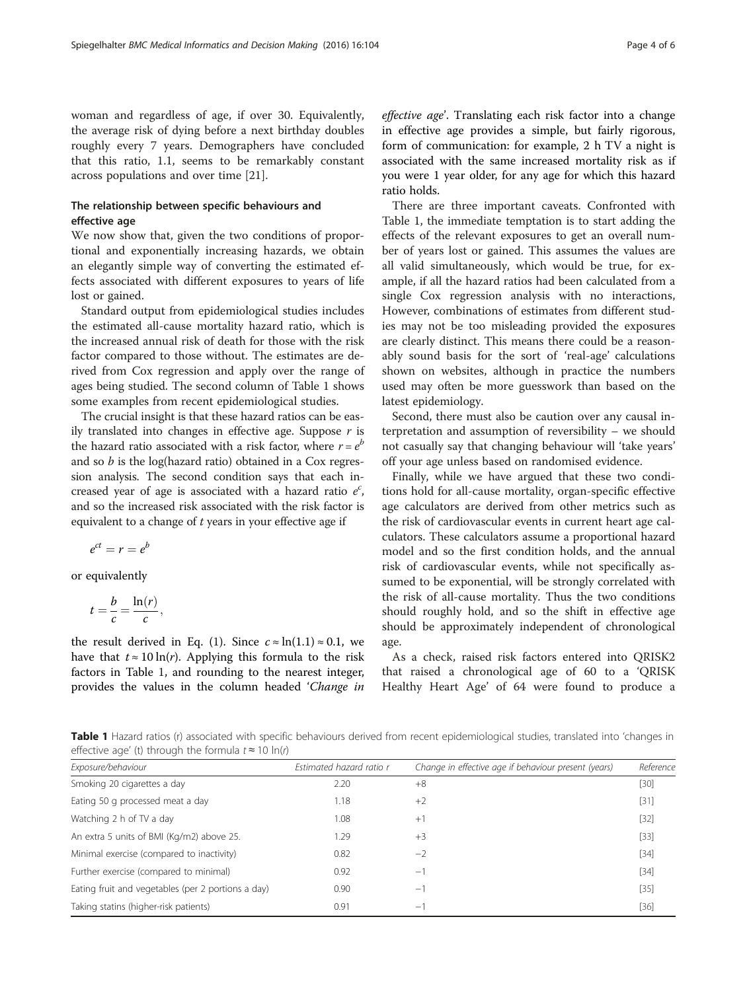woman and regardless of age, if over 30. Equivalently, the average risk of dying before a next birthday doubles roughly every 7 years. Demographers have concluded that this ratio, 1.1, seems to be remarkably constant across populations and over time [[21](#page-5-0)].

# The relationship between specific behaviours and effective age

We now show that, given the two conditions of proportional and exponentially increasing hazards, we obtain an elegantly simple way of converting the estimated effects associated with different exposures to years of life lost or gained.

Standard output from epidemiological studies includes the estimated all-cause mortality hazard ratio, which is the increased annual risk of death for those with the risk factor compared to those without. The estimates are derived from Cox regression and apply over the range of ages being studied. The second column of Table 1 shows some examples from recent epidemiological studies.

The crucial insight is that these hazard ratios can be easily translated into changes in effective age. Suppose  $r$  is the hazard ratio associated with a risk factor, where  $r = e^{b}$ and so  $b$  is the log(hazard ratio) obtained in a Cox regression analysis. The second condition says that each increased year of age is associated with a hazard ratio  $e^c$ , and so the increased risk associated with the risk factor is equivalent to a change of  $t$  years in your effective age if

$$
e^{ct}=r=e^b
$$

or equivalently

$$
t=\frac{b}{c}=\frac{\ln(r)}{c},
$$

the result derived in Eq. ([1\)](#page-2-0). Since  $c \approx \ln(1.1) \approx 0.1$ , we have that  $t \approx 10 \ln(r)$ . Applying this formula to the risk factors in Table 1, and rounding to the nearest integer, provides the values in the column headed 'Change in

effective age'. Translating each risk factor into a change in effective age provides a simple, but fairly rigorous, form of communication: for example, 2 h TV a night is associated with the same increased mortality risk as if you were 1 year older, for any age for which this hazard ratio holds.

There are three important caveats. Confronted with Table 1, the immediate temptation is to start adding the effects of the relevant exposures to get an overall number of years lost or gained. This assumes the values are all valid simultaneously, which would be true, for example, if all the hazard ratios had been calculated from a single Cox regression analysis with no interactions, However, combinations of estimates from different studies may not be too misleading provided the exposures are clearly distinct. This means there could be a reasonably sound basis for the sort of 'real-age' calculations shown on websites, although in practice the numbers used may often be more guesswork than based on the latest epidemiology.

Second, there must also be caution over any causal interpretation and assumption of reversibility – we should not casually say that changing behaviour will 'take years' off your age unless based on randomised evidence.

Finally, while we have argued that these two conditions hold for all-cause mortality, organ-specific effective age calculators are derived from other metrics such as the risk of cardiovascular events in current heart age calculators. These calculators assume a proportional hazard model and so the first condition holds, and the annual risk of cardiovascular events, while not specifically assumed to be exponential, will be strongly correlated with the risk of all-cause mortality. Thus the two conditions should roughly hold, and so the shift in effective age should be approximately independent of chronological age.

As a check, raised risk factors entered into QRISK2 that raised a chronological age of 60 to a 'QRISK Healthy Heart Age' of 64 were found to produce a

Table 1 Hazard ratios (r) associated with specific behaviours derived from recent epidemiological studies, translated into 'changes in effective age' (t) through the formula  $t \approx 10 \ln(r)$ 

| Exposure/behaviour                                 | Estimated hazard ratio r | Change in effective age if behaviour present (years) | Reference |
|----------------------------------------------------|--------------------------|------------------------------------------------------|-----------|
| Smoking 20 cigarettes a day                        | 2.20                     | $+8$                                                 | [30]      |
| Eating 50 g processed meat a day                   | 1.18                     | $+2$                                                 | [31]      |
| Watching 2 h of TV a day                           | 1.08                     | $+1$                                                 | $[32]$    |
| An extra 5 units of BMI (Kg/m2) above 25.          | 1.29                     | $+3$                                                 | $[33]$    |
| Minimal exercise (compared to inactivity)          | 0.82                     | $-2$                                                 | $[34]$    |
| Further exercise (compared to minimal)             | 0.92                     | $-1$                                                 | $[34]$    |
| Eating fruit and vegetables (per 2 portions a day) | 0.90                     | $-1$                                                 | $[35]$    |
| Taking statins (higher-risk patients)              | 0.91                     | $-1$                                                 | $[36]$    |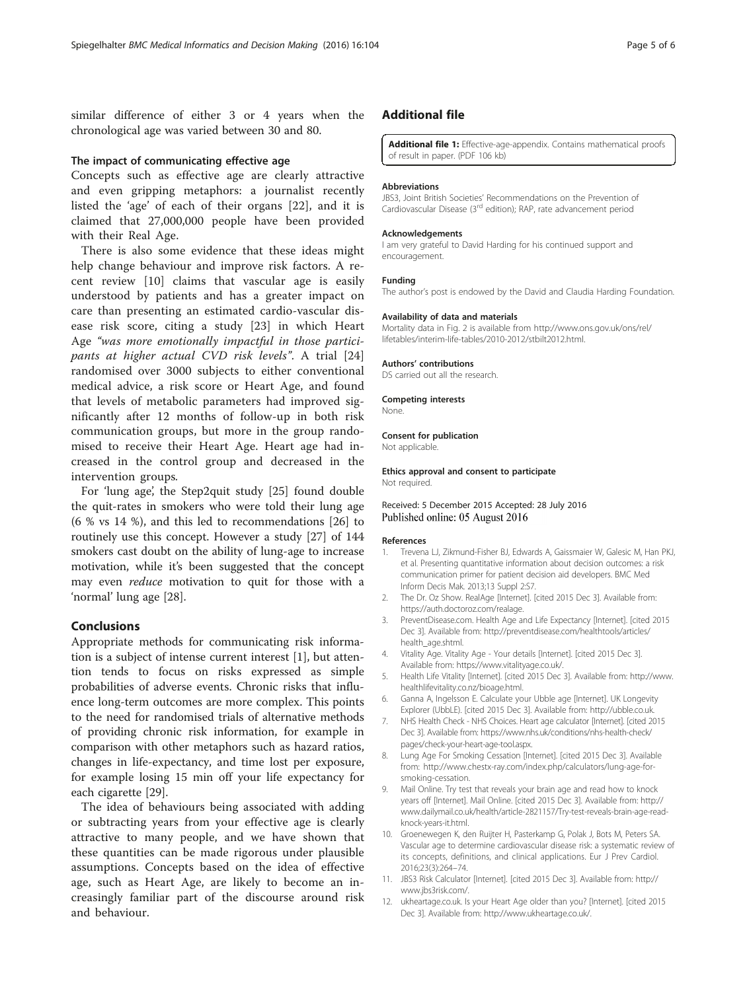<span id="page-4-0"></span>similar difference of either 3 or 4 years when the chronological age was varied between 30 and 80.

### The impact of communicating effective age

Concepts such as effective age are clearly attractive and even gripping metaphors: a journalist recently listed the 'age' of each of their organs [\[22](#page-5-0)], and it is claimed that 27,000,000 people have been provided with their Real Age.

There is also some evidence that these ideas might help change behaviour and improve risk factors. A recent review [10] claims that vascular age is easily understood by patients and has a greater impact on care than presenting an estimated cardio-vascular disease risk score, citing a study [[23\]](#page-5-0) in which Heart Age "was more emotionally impactful in those participants at higher actual CVD risk levels". A trial [\[24](#page-5-0)] randomised over 3000 subjects to either conventional medical advice, a risk score or Heart Age, and found that levels of metabolic parameters had improved significantly after 12 months of follow-up in both risk communication groups, but more in the group randomised to receive their Heart Age. Heart age had increased in the control group and decreased in the intervention groups.

For 'lung age', the Step2quit study [\[25](#page-5-0)] found double the quit-rates in smokers who were told their lung age (6 % vs 14 %), and this led to recommendations [[26](#page-5-0)] to routinely use this concept. However a study [[27](#page-5-0)] of 144 smokers cast doubt on the ability of lung-age to increase motivation, while it's been suggested that the concept may even reduce motivation to quit for those with a 'normal' lung age [\[28](#page-5-0)].

#### Conclusions

Appropriate methods for communicating risk information is a subject of intense current interest [1], but attention tends to focus on risks expressed as simple probabilities of adverse events. Chronic risks that influence long-term outcomes are more complex. This points to the need for randomised trials of alternative methods of providing chronic risk information, for example in comparison with other metaphors such as hazard ratios, changes in life-expectancy, and time lost per exposure, for example losing 15 min off your life expectancy for each cigarette [\[29\]](#page-5-0).

The idea of behaviours being associated with adding or subtracting years from your effective age is clearly attractive to many people, and we have shown that these quantities can be made rigorous under plausible assumptions. Concepts based on the idea of effective age, such as Heart Age, are likely to become an increasingly familiar part of the discourse around risk and behaviour.

# Additional file

[Additional file 1:](dx.doi.org/10.1186/s12911-016-0342-z) Effective-age-appendix. Contains mathematical proofs of result in paper. (PDF 106 kb)

#### Abbreviations

JBS3, Joint British Societies' Recommendations on the Prevention of Cardiovascular Disease (3rd edition); RAP, rate advancement period

#### Acknowledgements

I am very grateful to David Harding for his continued support and encouragement.

## Funding

The author's post is endowed by the David and Claudia Harding Foundation.

#### Availability of data and materials

Mortality data in Fig. [2](#page-2-0) is available from [http://www.ons.gov.uk/ons/rel/](http://www.ons.gov.uk/ons/rel/lifetables/interim-life-tables/2010-2012/stbilt2012.html) [lifetables/interim-life-tables/2010-2012/stbilt2012.html.](http://www.ons.gov.uk/ons/rel/lifetables/interim-life-tables/2010-2012/stbilt2012.html)

#### Authors' contributions

DS carried out all the research.

Competing interests

None.

#### Consent for publication Not applicable.

Ethics approval and consent to participate Not required.

# Received: 5 December 2015 Accepted: 28 July 2016 Published online: 05 August 2016

#### References

- 1. Trevena LJ, Zikmund-Fisher BJ, Edwards A, Gaissmaier W, Galesic M, Han PKJ, et al. Presenting quantitative information about decision outcomes: a risk communication primer for patient decision aid developers. BMC Med Inform Decis Mak. 2013;13 Suppl 2:S7.
- 2. The Dr. Oz Show. RealAge [Internet]. [cited 2015 Dec 3]. Available from: [https://auth.doctoroz.com/realage.](https://auth.doctoroz.com/realage)
- 3. PreventDisease.com. Health Age and Life Expectancy [Internet]. [cited 2015 Dec 3]. Available from: [http://preventdisease.com/healthtools/articles/](http://preventdisease.com/healthtools/articles/health_age.shtml) [health\\_age.shtml.](http://preventdisease.com/healthtools/articles/health_age.shtml)
- 4. Vitality Age. Vitality Age Your details [Internet]. [cited 2015 Dec 3]. Available from:<https://www.vitalityage.co.uk/>.
- 5. Health Life Vitality [Internet]. [cited 2015 Dec 3]. Available from: [http://www.](http://www.healthlifevitality.co.nz/bioage.html) [healthlifevitality.co.nz/bioage.html](http://www.healthlifevitality.co.nz/bioage.html).
- 6. Ganna A, Ingelsson E. Calculate your Ubble age [Internet]. UK Longevity Explorer (UbbLE). [cited 2015 Dec 3]. Available from: [http://ubble.co.uk.](http://ubble.co.uk/)
- 7. NHS Health Check NHS Choices. Heart age calculator [Internet]. [cited 2015 Dec 3]. Available from: [https://www.nhs.uk/conditions/nhs-health-check/](https://www.nhs.uk/conditions/nhs-health-check/pages/check-your-heart-age-tool.aspx) [pages/check-your-heart-age-tool.aspx](https://www.nhs.uk/conditions/nhs-health-check/pages/check-your-heart-age-tool.aspx).
- 8. Lung Age For Smoking Cessation [Internet]. [cited 2015 Dec 3]. Available from: [http://www.chestx-ray.com/index.php/calculators/lung-age-for](http://www.chestx-ray.com/index.php/calculators/lung-age-for-smoking-cessation)[smoking-cessation.](http://www.chestx-ray.com/index.php/calculators/lung-age-for-smoking-cessation)
- 9. Mail Online. Try test that reveals your brain age and read how to knock years off [Internet]. Mail Online. [cited 2015 Dec 3]. Available from: [http://](http://www.dailymail.co.uk/health/article-2821157/Try-test-reveals-brain-age-read-knock-years-it.html) [www.dailymail.co.uk/health/article-2821157/Try-test-reveals-brain-age-read](http://www.dailymail.co.uk/health/article-2821157/Try-test-reveals-brain-age-read-knock-years-it.html)[knock-years-it.html.](http://www.dailymail.co.uk/health/article-2821157/Try-test-reveals-brain-age-read-knock-years-it.html)
- 10. Groenewegen K, den Ruijter H, Pasterkamp G, Polak J, Bots M, Peters SA. Vascular age to determine cardiovascular disease risk: a systematic review of its concepts, definitions, and clinical applications. Eur J Prev Cardiol. 2016;23(3):264–74.
- 11. JBS3 Risk Calculator [Internet]. [cited 2015 Dec 3]. Available from: [http://](http://www.jbs3risk.com/) [www.jbs3risk.com/](http://www.jbs3risk.com/).
- 12. ukheartage.co.uk. Is your Heart Age older than you? [Internet]. [cited 2015 Dec 3]. Available from: [http://www.ukheartage.co.uk/.](http://www.ukheartage.co.uk/)